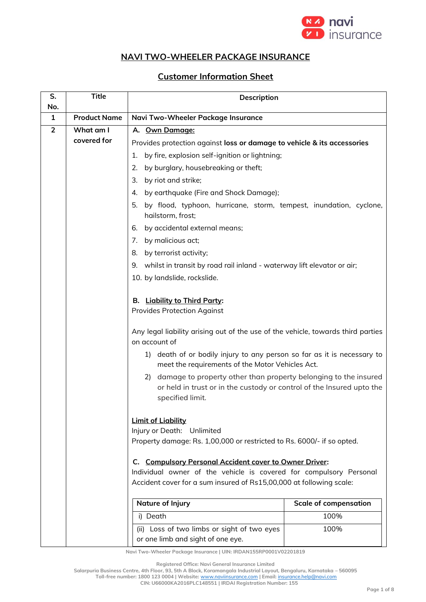

## **NAVI TWO-WHEELER PACKAGE INSURANCE**

## **Customer Information Sheet**

| S.<br>No.      | <b>Title</b>        | Description                                                                                                                                                     |                              |
|----------------|---------------------|-----------------------------------------------------------------------------------------------------------------------------------------------------------------|------------------------------|
| 1              | <b>Product Name</b> | Navi Two-Wheeler Package Insurance                                                                                                                              |                              |
| $\overline{2}$ | What am I           | A. Own Damage:                                                                                                                                                  |                              |
|                | covered for         | Provides protection against loss or damage to vehicle & its accessories                                                                                         |                              |
|                |                     | by fire, explosion self-ignition or lightning;<br>1.                                                                                                            |                              |
|                |                     | 2.<br>by burglary, housebreaking or theft;                                                                                                                      |                              |
|                |                     | 3.<br>by riot and strike;                                                                                                                                       |                              |
|                |                     | 4.<br>by earthquake (Fire and Shock Damage);                                                                                                                    |                              |
|                |                     | 5.<br>by flood, typhoon, hurricane, storm, tempest, inundation, cyclone,<br>hailstorm, frost;                                                                   |                              |
|                |                     | by accidental external means;<br>6.                                                                                                                             |                              |
|                |                     | by malicious act;<br>7.                                                                                                                                         |                              |
|                |                     | by terrorist activity;<br>8.                                                                                                                                    |                              |
|                |                     | 9. whilst in transit by road rail inland - waterway lift elevator or air;                                                                                       |                              |
|                |                     | 10. by landslide, rockslide.                                                                                                                                    |                              |
|                |                     |                                                                                                                                                                 |                              |
|                |                     | B. Liability to Third Party:                                                                                                                                    |                              |
|                |                     | <b>Provides Protection Against</b>                                                                                                                              |                              |
|                |                     | Any legal liability arising out of the use of the vehicle, towards third parties<br>on account of                                                               |                              |
|                |                     | death of or bodily injury to any person so far as it is necessary to<br>1)<br>meet the requirements of the Motor Vehicles Act.                                  |                              |
|                |                     | 2) damage to property other than property belonging to the insured<br>or held in trust or in the custody or control of the Insured upto the<br>specified limit. |                              |
|                |                     | <b>Limit of Liability</b><br>Injury or Death: Unlimited                                                                                                         |                              |
|                |                     | Property damage: Rs. 1,00,000 or restricted to Rs. 6000/- if so opted.                                                                                          |                              |
|                |                     |                                                                                                                                                                 |                              |
|                |                     | C. Compulsory Personal Accident cover to Owner Driver:                                                                                                          |                              |
|                |                     | Individual owner of the vehicle is covered for compulsory Personal<br>Accident cover for a sum insured of Rs15,00,000 at following scale:                       |                              |
|                |                     |                                                                                                                                                                 |                              |
|                |                     | <b>Nature of Injury</b>                                                                                                                                         | <b>Scale of compensation</b> |
|                |                     | i) Death                                                                                                                                                        | 100%                         |
|                |                     | (ii) Loss of two limbs or sight of two eyes                                                                                                                     | 100%                         |
|                |                     | or one limb and sight of one eye.                                                                                                                               |                              |

**Navi Two-Wheeler Package Insurance | UIN: IRDAN155RP0001V02201819**

**Registered Office: Navi General Insurance Limited**

**Salarpuria Business Centre, 4th Floor, 93, 5th A Block, Koramangala Industrial Layout, Bengaluru, Karnataka – 560095 Toll-free number: 1800 123 0004 | Website:** [www.naviinsurance.com](http://www.naviinsurance.com/) **| Email:** [insurance.help@navi.com](mailto:insurance.help@navi.com)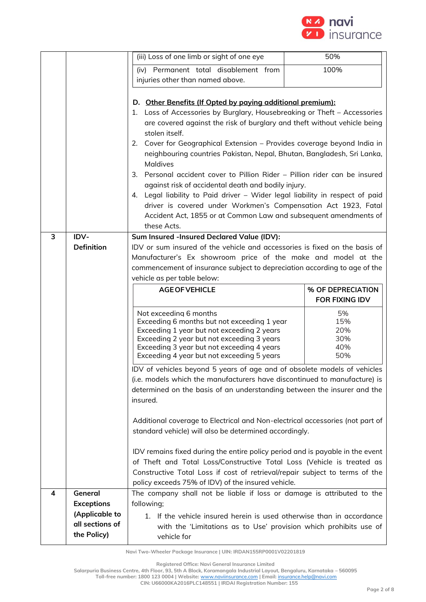

|   |                                     | (iii) Loss of one limb or sight of one eye                                                                                                 | 50%                   |
|---|-------------------------------------|--------------------------------------------------------------------------------------------------------------------------------------------|-----------------------|
|   |                                     | (iv) Permanent total disablement from                                                                                                      | 100%                  |
|   |                                     | injuries other than named above.                                                                                                           |                       |
|   |                                     |                                                                                                                                            |                       |
|   |                                     | D. Other Benefits (If Opted by paying additional premium):                                                                                 |                       |
|   |                                     | Loss of Accessories by Burglary, Housebreaking or Theft - Accessories<br>1.                                                                |                       |
|   |                                     | are covered against the risk of burglary and theft without vehicle being                                                                   |                       |
|   |                                     | stolen itself.<br>2. Cover for Geographical Extension - Provides coverage beyond India in                                                  |                       |
|   |                                     | neighbouring countries Pakistan, Nepal, Bhutan, Bangladesh, Sri Lanka,                                                                     |                       |
|   |                                     | <b>Maldives</b>                                                                                                                            |                       |
|   |                                     | Personal accident cover to Pillion Rider – Pillion rider can be insured<br>3.                                                              |                       |
|   |                                     | against risk of accidental death and bodily injury.                                                                                        |                       |
|   |                                     | 4. Legal liability to Paid driver - Wider legal liability in respect of paid                                                               |                       |
|   |                                     | driver is covered under Workmen's Compensation Act 1923, Fatal                                                                             |                       |
|   |                                     | Accident Act, 1855 or at Common Law and subsequent amendments of                                                                           |                       |
|   |                                     | these Acts.                                                                                                                                |                       |
| 3 | IDV-<br><b>Definition</b>           | Sum Insured -Insured Declared Value (IDV):<br>IDV or sum insured of the vehicle and accessories is fixed on the basis of                   |                       |
|   |                                     | Manufacturer's Ex showroom price of the make and model at the                                                                              |                       |
|   |                                     | commencement of insurance subject to depreciation according to age of the                                                                  |                       |
|   |                                     | vehicle as per table below:                                                                                                                |                       |
|   |                                     | <b>AGE OF VEHICLE</b>                                                                                                                      | % OF DEPRECIATION     |
|   |                                     |                                                                                                                                            | <b>FOR FIXING IDV</b> |
|   |                                     | Not exceeding 6 months                                                                                                                     | 5%                    |
|   |                                     | Exceeding 6 months but not exceeding 1 year<br>Exceeding 1 year but not exceeding 2 years                                                  | 15%<br>20%            |
|   |                                     | Exceeding 2 year but not exceeding 3 years                                                                                                 | 30%                   |
|   |                                     | Exceeding 3 year but not exceeding 4 years                                                                                                 | 40%                   |
|   |                                     |                                                                                                                                            |                       |
|   |                                     | Exceeding 4 year but not exceeding 5 years                                                                                                 | 50%                   |
|   |                                     | IDV of vehicles beyond 5 years of age and of obsolete models of vehicles                                                                   |                       |
|   |                                     | (i.e. models which the manufacturers have discontinued to manufacture) is                                                                  |                       |
|   |                                     | determined on the basis of an understanding between the insurer and the                                                                    |                       |
|   |                                     | insured.                                                                                                                                   |                       |
|   |                                     |                                                                                                                                            |                       |
|   |                                     | Additional coverage to Electrical and Non-electrical accessories (not part of<br>standard vehicle) will also be determined accordingly.    |                       |
|   |                                     |                                                                                                                                            |                       |
|   |                                     | IDV remains fixed during the entire policy period and is payable in the event                                                              |                       |
|   |                                     | of Theft and Total Loss/Constructive Total Loss (Vehicle is treated as                                                                     |                       |
|   |                                     | Constructive Total Loss if cost of retrieval/repair subject to terms of the                                                                |                       |
|   |                                     | policy exceeds 75% of IDV) of the insured vehicle.                                                                                         |                       |
| 4 | General                             | The company shall not be liable if loss or damage is attributed to the                                                                     |                       |
|   | <b>Exceptions</b><br>(Applicable to | following;                                                                                                                                 |                       |
|   | all sections of                     | 1. If the vehicle insured herein is used otherwise than in accordance<br>with the 'Limitations as to Use' provision which prohibits use of |                       |

**Registered Office: Navi General Insurance Limited**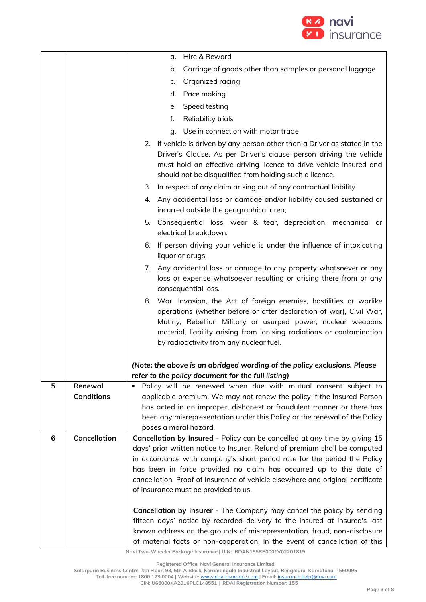

|   |                     | Hire & Reward<br>α.                                                                                                                                                                                                                                                                                                             |
|---|---------------------|---------------------------------------------------------------------------------------------------------------------------------------------------------------------------------------------------------------------------------------------------------------------------------------------------------------------------------|
|   |                     | Carriage of goods other than samples or personal luggage<br>b.                                                                                                                                                                                                                                                                  |
|   |                     | Organized racing<br>c.                                                                                                                                                                                                                                                                                                          |
|   |                     | Pace making<br>d.                                                                                                                                                                                                                                                                                                               |
|   |                     | Speed testing<br>e.                                                                                                                                                                                                                                                                                                             |
|   |                     | f.<br>Reliability trials                                                                                                                                                                                                                                                                                                        |
|   |                     | g. Use in connection with motor trade                                                                                                                                                                                                                                                                                           |
|   |                     | 2. If vehicle is driven by any person other than a Driver as stated in the<br>Driver's Clause. As per Driver's clause person driving the vehicle<br>must hold an effective driving licence to drive vehicle insured and<br>should not be disqualified from holding such a licence.                                              |
|   |                     | 3. In respect of any claim arising out of any contractual liability.                                                                                                                                                                                                                                                            |
|   |                     | 4. Any accidental loss or damage and/or liability caused sustained or<br>incurred outside the geographical area;                                                                                                                                                                                                                |
|   |                     | 5. Consequential loss, wear & tear, depreciation, mechanical or<br>electrical breakdown.                                                                                                                                                                                                                                        |
|   |                     | 6. If person driving your vehicle is under the influence of intoxicating<br>liquor or drugs.                                                                                                                                                                                                                                    |
|   |                     | 7. Any accidental loss or damage to any property whatsoever or any<br>loss or expense whatsoever resulting or arising there from or any<br>consequential loss.                                                                                                                                                                  |
|   |                     | 8. War, Invasion, the Act of foreign enemies, hostilities or warlike<br>operations (whether before or after declaration of war), Civil War,<br>Mutiny, Rebellion Military or usurped power, nuclear weapons<br>material, liability arising from ionising radiations or contamination<br>by radioactivity from any nuclear fuel. |
|   |                     | (Note: the above is an abridged wording of the policy exclusions. Please<br>refer to the policy document for the full listing)                                                                                                                                                                                                  |
| 5 | Renewal             | Policy will be renewed when due with mutual consent subject to                                                                                                                                                                                                                                                                  |
|   | <b>Conditions</b>   | applicable premium. We may not renew the policy if the Insured Person                                                                                                                                                                                                                                                           |
|   |                     | has acted in an improper, dishonest or fraudulent manner or there has<br>been any misrepresentation under this Policy or the renewal of the Policy                                                                                                                                                                              |
|   |                     | poses a moral hazard.                                                                                                                                                                                                                                                                                                           |
| 6 | <b>Cancellation</b> | Cancellation by Insured - Policy can be cancelled at any time by giving 15                                                                                                                                                                                                                                                      |
|   |                     | days' prior written notice to Insurer. Refund of premium shall be computed                                                                                                                                                                                                                                                      |
|   |                     | in accordance with company's short period rate for the period the Policy                                                                                                                                                                                                                                                        |
|   |                     | has been in force provided no claim has occurred up to the date of                                                                                                                                                                                                                                                              |
|   |                     | cancellation. Proof of insurance of vehicle elsewhere and original certificate<br>of insurance must be provided to us.                                                                                                                                                                                                          |
|   |                     |                                                                                                                                                                                                                                                                                                                                 |
|   |                     | Cancellation by Insurer - The Company may cancel the policy by sending<br>fifteen days' notice by recorded delivery to the insured at insured's last<br>known address on the grounds of misrepresentation, fraud, non-disclosure                                                                                                |
|   |                     | of material facts or non-cooperation. In the event of cancellation of this                                                                                                                                                                                                                                                      |

**Registered Office: Navi General Insurance Limited**

**Salarpuria Business Centre, 4th Floor, 93, 5th A Block, Koramangala Industrial Layout, Bengaluru, Karnataka – 560095 Toll-free number: 1800 123 0004 | Website:** [www.naviinsurance.com](http://www.naviinsurance.com/) **| Email:** [insurance.help@navi.com](mailto:insurance.help@navi.com)

**CIN: U66000KA2016PLC148551 | IRDAI Registration Number: 155**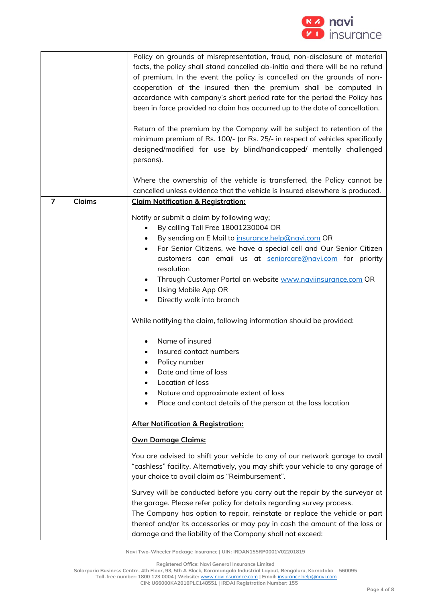

|                |               | Policy on grounds of misrepresentation, fraud, non-disclosure of material<br>facts, the policy shall stand cancelled ab-initio and there will be no refund                                                       |
|----------------|---------------|------------------------------------------------------------------------------------------------------------------------------------------------------------------------------------------------------------------|
|                |               |                                                                                                                                                                                                                  |
|                |               | of premium. In the event the policy is cancelled on the grounds of non-                                                                                                                                          |
|                |               | cooperation of the insured then the premium shall be computed in                                                                                                                                                 |
|                |               | accordance with company's short period rate for the period the Policy has                                                                                                                                        |
|                |               | been in force provided no claim has occurred up to the date of cancellation.                                                                                                                                     |
|                |               |                                                                                                                                                                                                                  |
|                |               | Return of the premium by the Company will be subject to retention of the                                                                                                                                         |
|                |               |                                                                                                                                                                                                                  |
|                |               | minimum premium of Rs. 100/- (or Rs. 25/- in respect of vehicles specifically                                                                                                                                    |
|                |               | designed/modified for use by blind/handicapped/ mentally challenged                                                                                                                                              |
|                |               | persons).                                                                                                                                                                                                        |
|                |               |                                                                                                                                                                                                                  |
|                |               | Where the ownership of the vehicle is transferred, the Policy cannot be                                                                                                                                          |
|                |               | cancelled unless evidence that the vehicle is insured elsewhere is produced.                                                                                                                                     |
| $\overline{7}$ | <b>Claims</b> |                                                                                                                                                                                                                  |
|                |               | <b>Claim Notification &amp; Registration:</b>                                                                                                                                                                    |
|                |               | Notify or submit a claim by following way;                                                                                                                                                                       |
|                |               | By calling Toll Free 18001230004 OR<br>$\bullet$                                                                                                                                                                 |
|                |               |                                                                                                                                                                                                                  |
|                |               | By sending an E Mail to insurance.help@navi.com OR<br>$\bullet$                                                                                                                                                  |
|                |               | For Senior Citizens, we have a special cell and Our Senior Citizen<br>$\bullet$                                                                                                                                  |
|                |               | customers can email us at seniorcare@navi.com for priority                                                                                                                                                       |
|                |               | resolution                                                                                                                                                                                                       |
|                |               | Through Customer Portal on website www.naviinsurance.com OR                                                                                                                                                      |
|                |               | Using Mobile App OR<br>$\bullet$                                                                                                                                                                                 |
|                |               |                                                                                                                                                                                                                  |
|                |               | Directly walk into branch<br>$\bullet$                                                                                                                                                                           |
|                |               | While notifying the claim, following information should be provided:                                                                                                                                             |
|                |               | Name of insured                                                                                                                                                                                                  |
|                |               | Insured contact numbers                                                                                                                                                                                          |
|                |               | Policy number                                                                                                                                                                                                    |
|                |               | Date and time of loss                                                                                                                                                                                            |
|                |               |                                                                                                                                                                                                                  |
|                |               | Location of loss                                                                                                                                                                                                 |
|                |               | Nature and approximate extent of loss                                                                                                                                                                            |
|                |               | Place and contact details of the person at the loss location                                                                                                                                                     |
|                |               |                                                                                                                                                                                                                  |
|                |               | <b>After Notification &amp; Registration:</b>                                                                                                                                                                    |
|                |               | <b>Own Damage Claims:</b>                                                                                                                                                                                        |
|                |               | You are advised to shift your vehicle to any of our network garage to avail<br>"cashless" facility. Alternatively, you may shift your vehicle to any garage of<br>your choice to avail claim as "Reimbursement". |
|                |               | Survey will be conducted before you carry out the repair by the surveyor at                                                                                                                                      |
|                |               |                                                                                                                                                                                                                  |
|                |               | the garage. Please refer policy for details regarding survey process.                                                                                                                                            |
|                |               | The Company has option to repair, reinstate or replace the vehicle or part                                                                                                                                       |
|                |               | thereof and/or its accessories or may pay in cash the amount of the loss or                                                                                                                                      |
|                |               | damage and the liability of the Company shall not exceed:                                                                                                                                                        |

**Registered Office: Navi General Insurance Limited**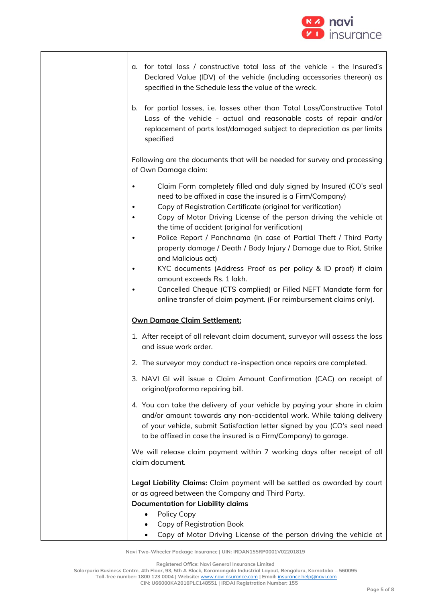

|  | a. for total loss / constructive total loss of the vehicle - the Insured's<br>Declared Value (IDV) of the vehicle (including accessories thereon) as<br>specified in the Schedule less the value of the wreck.                                                                                                                                                                                                                                                                                                                                                                                                                                                                                                                       |
|--|--------------------------------------------------------------------------------------------------------------------------------------------------------------------------------------------------------------------------------------------------------------------------------------------------------------------------------------------------------------------------------------------------------------------------------------------------------------------------------------------------------------------------------------------------------------------------------------------------------------------------------------------------------------------------------------------------------------------------------------|
|  | b. for partial losses, i.e. losses other than Total Loss/Constructive Total<br>Loss of the vehicle - actual and reasonable costs of repair and/or<br>replacement of parts lost/damaged subject to depreciation as per limits<br>specified                                                                                                                                                                                                                                                                                                                                                                                                                                                                                            |
|  | Following are the documents that will be needed for survey and processing<br>of Own Damage claim:                                                                                                                                                                                                                                                                                                                                                                                                                                                                                                                                                                                                                                    |
|  | Claim Form completely filled and duly signed by Insured (CO's seal<br>need to be affixed in case the insured is a Firm/Company)<br>Copy of Registration Certificate (original for verification)<br>Copy of Motor Driving License of the person driving the vehicle at<br>the time of accident (original for verification)<br>Police Report / Panchnama (In case of Partial Theft / Third Party<br>property damage / Death / Body Injury / Damage due to Riot, Strike<br>and Malicious act)<br>KYC documents (Address Proof as per policy & ID proof) if claim<br>amount exceeds Rs. 1 lakh.<br>Cancelled Cheque (CTS complied) or Filled NEFT Mandate form for<br>online transfer of claim payment. (For reimbursement claims only). |
|  | <b>Own Damage Claim Settlement:</b>                                                                                                                                                                                                                                                                                                                                                                                                                                                                                                                                                                                                                                                                                                  |
|  | 1. After receipt of all relevant claim document, surveyor will assess the loss<br>and issue work order.                                                                                                                                                                                                                                                                                                                                                                                                                                                                                                                                                                                                                              |
|  | 2. The surveyor may conduct re-inspection once repairs are completed.                                                                                                                                                                                                                                                                                                                                                                                                                                                                                                                                                                                                                                                                |
|  | 3. NAVI GI will issue a Claim Amount Confirmation (CAC) on receipt of<br>original/proforma repairing bill.                                                                                                                                                                                                                                                                                                                                                                                                                                                                                                                                                                                                                           |
|  | 4. You can take the delivery of your vehicle by paying your share in claim<br>and/or amount towards any non-accidental work. While taking delivery<br>of your vehicle, submit Satisfaction letter signed by you (CO's seal need<br>to be affixed in case the insured is a Firm/Company) to garage.                                                                                                                                                                                                                                                                                                                                                                                                                                   |
|  | We will release claim payment within 7 working days after receipt of all<br>claim document.                                                                                                                                                                                                                                                                                                                                                                                                                                                                                                                                                                                                                                          |
|  | Legal Liability Claims: Claim payment will be settled as awarded by court<br>or as agreed between the Company and Third Party.<br><b>Documentation for Liability claims</b><br>Policy Copy<br>Copy of Registration Book                                                                                                                                                                                                                                                                                                                                                                                                                                                                                                              |
|  | Copy of Motor Driving License of the person driving the vehicle at                                                                                                                                                                                                                                                                                                                                                                                                                                                                                                                                                                                                                                                                   |

**Registered Office: Navi General Insurance Limited**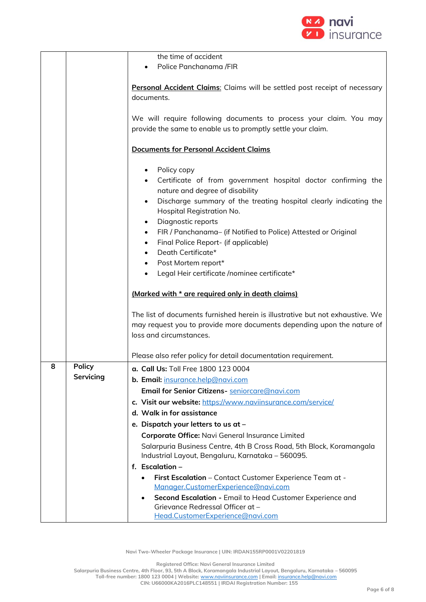

|   |               | the time of accident                                                                                                               |
|---|---------------|------------------------------------------------------------------------------------------------------------------------------------|
|   |               | Police Panchanama /FIR                                                                                                             |
|   |               |                                                                                                                                    |
|   |               | Personal Accident Claims: Claims will be settled post receipt of necessary                                                         |
|   |               | documents.                                                                                                                         |
|   |               |                                                                                                                                    |
|   |               | We will require following documents to process your claim. You may<br>provide the same to enable us to promptly settle your claim. |
|   |               |                                                                                                                                    |
|   |               | <b>Documents for Personal Accident Claims</b>                                                                                      |
|   |               | Policy copy<br>$\bullet$                                                                                                           |
|   |               | Certificate of from government hospital doctor confirming the<br>$\bullet$                                                         |
|   |               | nature and degree of disability                                                                                                    |
|   |               | Discharge summary of the treating hospital clearly indicating the<br>$\bullet$<br>Hospital Registration No.                        |
|   |               | Diagnostic reports<br>$\bullet$                                                                                                    |
|   |               | FIR / Panchanama- (if Notified to Police) Attested or Original<br>$\bullet$                                                        |
|   |               | Final Police Report- (if applicable)<br>$\bullet$                                                                                  |
|   |               | Death Certificate*                                                                                                                 |
|   |               | Post Mortem report*<br>$\bullet$                                                                                                   |
|   |               | Legal Heir certificate /nominee certificate*                                                                                       |
|   |               | (Marked with * are required only in death claims)                                                                                  |
|   |               | The list of documents furnished herein is illustrative but not exhaustive. We                                                      |
|   |               | may request you to provide more documents depending upon the nature of                                                             |
|   |               | loss and circumstances.                                                                                                            |
|   |               |                                                                                                                                    |
|   |               | Please also refer policy for detail documentation requirement.                                                                     |
| 8 | <b>Policy</b> | a. Call Us: Toll Free 1800 123 0004                                                                                                |
|   | Servicing     | b. Email: insurance.help@navi.com                                                                                                  |
|   |               | Email for Senior Citizens- seniorcare@navi.com                                                                                     |
|   |               | c. Visit our website: https://www.naviinsurance.com/service/                                                                       |
|   |               | d. Walk in for assistance                                                                                                          |
|   |               | e. Dispatch your letters to us at -                                                                                                |
|   |               | Corporate Office: Navi General Insurance Limited                                                                                   |
|   |               | Salarpuria Business Centre, 4th B Cross Road, 5th Block, Koramangala<br>Industrial Layout, Bengaluru, Karnataka - 560095.          |
|   |               | f. Escalation -                                                                                                                    |
|   |               | First Escalation - Contact Customer Experience Team at -<br>Manager.CustomerExperience@navi.com                                    |
|   |               | Second Escalation - Email to Head Customer Experience and<br>Grievance Redressal Officer at -<br>Head.CustomerExperience@navi.com  |

**Registered Office: Navi General Insurance Limited**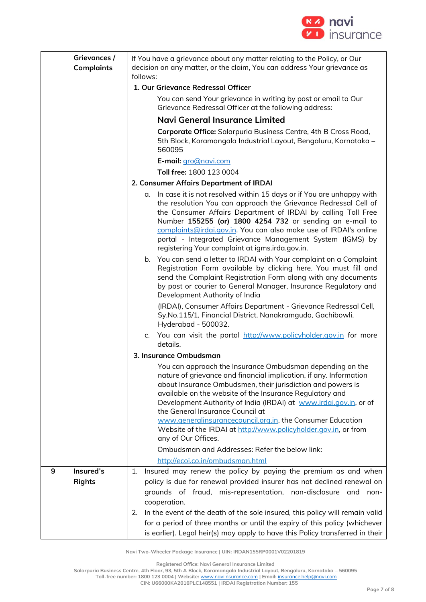

|   | Grievances /<br><b>Complaints</b> | If You have a grievance about any matter relating to the Policy, or Our<br>decision on any matter, or the claim, You can address Your grievance as<br>follows:                                                                                                                                                                                                                                                                                                                                                              |
|---|-----------------------------------|-----------------------------------------------------------------------------------------------------------------------------------------------------------------------------------------------------------------------------------------------------------------------------------------------------------------------------------------------------------------------------------------------------------------------------------------------------------------------------------------------------------------------------|
|   |                                   | 1. Our Grievance Redressal Officer                                                                                                                                                                                                                                                                                                                                                                                                                                                                                          |
|   |                                   | You can send Your grievance in writing by post or email to Our<br>Grievance Redressal Officer at the following address:                                                                                                                                                                                                                                                                                                                                                                                                     |
|   |                                   | <b>Navi General Insurance Limited</b>                                                                                                                                                                                                                                                                                                                                                                                                                                                                                       |
|   |                                   | Corporate Office: Salarpuria Business Centre, 4th B Cross Road,<br>5th Block, Koramangala Industrial Layout, Bengaluru, Karnataka -<br>560095                                                                                                                                                                                                                                                                                                                                                                               |
|   |                                   | E-mail: gro@navi.com                                                                                                                                                                                                                                                                                                                                                                                                                                                                                                        |
|   |                                   | Toll free: 1800 123 0004                                                                                                                                                                                                                                                                                                                                                                                                                                                                                                    |
|   |                                   | 2. Consumer Affairs Department of IRDAI                                                                                                                                                                                                                                                                                                                                                                                                                                                                                     |
|   |                                   | a. In case it is not resolved within 15 days or if You are unhappy with<br>the resolution You can approach the Grievance Redressal Cell of<br>the Consumer Affairs Department of IRDAI by calling Toll Free<br>Number 155255 (or) 1800 4254 732 or sending an e-mail to<br>complaints@irdai.gov.in. You can also make use of IRDAI's online<br>portal - Integrated Grievance Management System (IGMS) by<br>registering Your complaint at igms.irda.gov.in.                                                                 |
|   |                                   | b. You can send a letter to IRDAI with Your complaint on a Complaint<br>Registration Form available by clicking here. You must fill and<br>send the Complaint Registration Form along with any documents<br>by post or courier to General Manager, Insurance Regulatory and<br>Development Authority of India                                                                                                                                                                                                               |
|   |                                   | (IRDAI), Consumer Affairs Department - Grievance Redressal Cell,<br>Sy.No.115/1, Financial District, Nanakramguda, Gachibowli,<br>Hyderabad - 500032.                                                                                                                                                                                                                                                                                                                                                                       |
|   |                                   | c. You can visit the portal http://www.policyholder.gov.in for more<br>details.                                                                                                                                                                                                                                                                                                                                                                                                                                             |
|   |                                   | 3. Insurance Ombudsman                                                                                                                                                                                                                                                                                                                                                                                                                                                                                                      |
|   |                                   | You can approach the Insurance Ombudsman depending on the<br>nature of grievance and financial implication, if any. Information<br>about Insurance Ombudsmen, their jurisdiction and powers is<br>available on the website of the Insurance Regulatory and<br>Development Authority of India (IRDAI) at www.irdai.gov.in, or of<br>the General Insurance Council at<br>www.generalinsurancecouncil.org.in, the Consumer Education<br>Website of the IRDAI at http://www.policyholder.gov.in, or from<br>any of Our Offices. |
|   |                                   | Ombudsman and Addresses: Refer the below link:                                                                                                                                                                                                                                                                                                                                                                                                                                                                              |
|   |                                   | http://ecoi.co.in/ombudsman.html                                                                                                                                                                                                                                                                                                                                                                                                                                                                                            |
| 9 | Insured's<br><b>Rights</b>        | Insured may renew the policy by paying the premium as and when<br>1.<br>policy is due for renewal provided insurer has not declined renewal on<br>grounds of fraud, mis-representation, non-disclosure and<br>non-<br>cooperation.                                                                                                                                                                                                                                                                                          |
|   |                                   | In the event of the death of the sole insured, this policy will remain valid<br>2.<br>for a period of three months or until the expiry of this policy (whichever<br>is earlier). Legal heir(s) may apply to have this Policy transferred in their                                                                                                                                                                                                                                                                           |

**Registered Office: Navi General Insurance Limited**